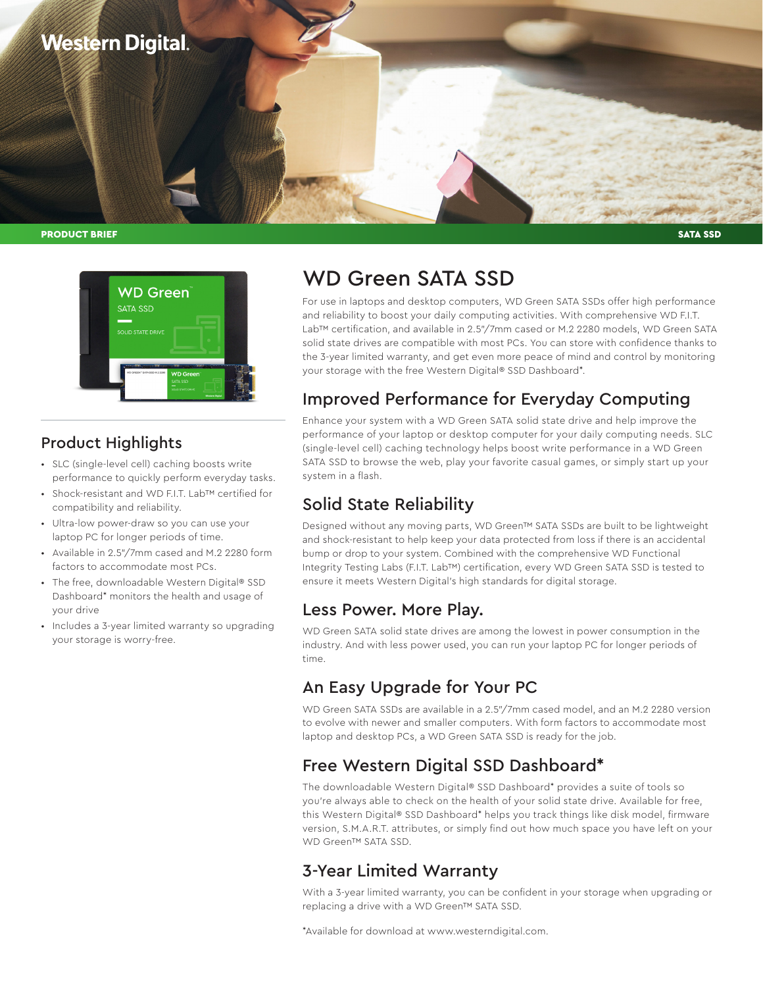

PRODUCT BRIEF SATA SSD NATURE AND SATA SSD NATURE AND SATA SSD NATURE AND SATA SSD NATURE AND SATA SSD NATURE A



### Product Highlights

- SLC (single-level cell) caching boosts write performance to quickly perform everyday tasks.
- Shock-resistant and WD F.I.T. Lab™ certified for compatibility and reliability.
- Ultra-low power-draw so you can use your laptop PC for longer periods of time.
- Available in 2.5"/7mm cased and M.2 2280 form factors to accommodate most PCs.
- The free, downloadable Western Digital® SSD Dashboard\* monitors the health and usage of your drive
- Includes a 3-year limited warranty so upgrading your storage is worry-free.

# WD Green SATA SSD

For use in laptops and desktop computers, WD Green SATA SSDs offer high performance and reliability to boost your daily computing activities. With comprehensive WD F.I.T. Lab™ certification, and available in 2.5"/7mm cased or M.2 2280 models, WD Green SATA solid state drives are compatible with most PCs. You can store with confidence thanks to the 3-year limited warranty, and get even more peace of mind and control by monitoring your storage with the free Western Digital® SSD Dashboard\*.

## Improved Performance for Everyday Computing

Enhance your system with a WD Green SATA solid state drive and help improve the performance of your laptop or desktop computer for your daily computing needs. SLC (single-level cell) caching technology helps boost write performance in a WD Green SATA SSD to browse the web, play your favorite casual games, or simply start up your system in a flash.

# Solid State Reliability

Designed without any moving parts, WD Green™ SATA SSDs are built to be lightweight and shock-resistant to help keep your data protected from loss if there is an accidental bump or drop to your system. Combined with the comprehensive WD Functional Integrity Testing Labs (F.I.T. Lab™) certification, every WD Green SATA SSD is tested to ensure it meets Western Digital's high standards for digital storage.

### Less Power. More Play.

WD Green SATA solid state drives are among the lowest in power consumption in the industry. And with less power used, you can run your laptop PC for longer periods of time.

### An Easy Upgrade for Your PC

WD Green SATA SSDs are available in a 2.5"/7mm cased model, and an M.2 2280 version to evolve with newer and smaller computers. With form factors to accommodate most laptop and desktop PCs, a WD Green SATA SSD is ready for the job.

### Free Western Digital SSD Dashboard\*

The downloadable Western Digital® SSD Dashboard\* provides a suite of tools so you're always able to check on the health of your solid state drive. Available for free, this Western Digital® SSD Dashboard\* helps you track things like disk model, firmware version, S.M.A.R.T. attributes, or simply find out how much space you have left on your WD Green™ SATA SSD.

### 3-Year Limited Warranty

With a 3-year limited warranty, you can be confident in your storage when upgrading or replacing a drive with a WD Green™ SATA SSD.

\*Available for download at [www.westerndigital.com](http://www.westerndigital.com).